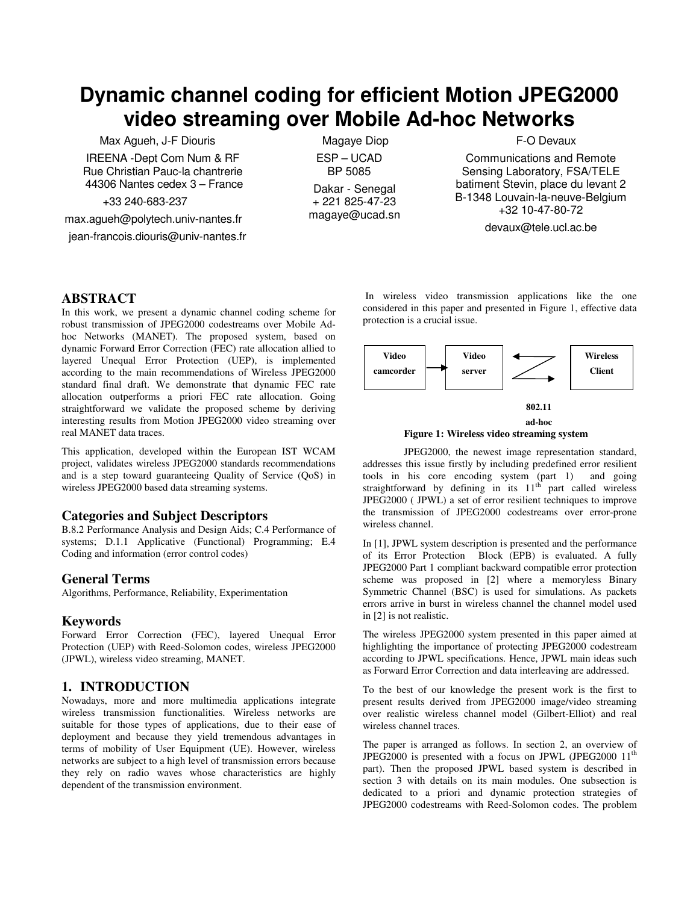# **Dynamic channel coding for efficient Motion JPEG2000 video streaming over Mobile Ad-hoc Networks**

Max Agueh, J-F Diouris

IREENA -Dept Com Num & RF Rue Christian Pauc-la chantrerie 44306 Nantes cedex 3 – France

+33 240-683-237

max.agueh@polytech.univ-nantes.fr

jean-francois.diouris@univ-nantes.fr

 Magaye Diop ESP – UCAD BP 5085 Dakar - Senegal + 221 825-47-23 magaye@ucad.sn F-O Devaux

Communications and Remote Sensing Laboratory, FSA/TELE batiment Stevin, place du levant 2 B-1348 Louvain-la-neuve-Belgium +32 10-47-80-72

devaux@tele.ucl.ac.be

# **ABSTRACT**

In this work, we present a dynamic channel coding scheme for robust transmission of JPEG2000 codestreams over Mobile Adhoc Networks (MANET). The proposed system, based on dynamic Forward Error Correction (FEC) rate allocation allied to layered Unequal Error Protection (UEP), is implemented according to the main recommendations of Wireless JPEG2000 standard final draft. We demonstrate that dynamic FEC rate allocation outperforms a priori FEC rate allocation. Going straightforward we validate the proposed scheme by deriving interesting results from Motion JPEG2000 video streaming over real MANET data traces.

This application, developed within the European IST WCAM project, validates wireless JPEG2000 standards recommendations and is a step toward guaranteeing Quality of Service (QoS) in wireless JPEG2000 based data streaming systems.

# **Categories and Subject Descriptors**

B.8.2 Performance Analysis and Design Aids; C.4 Performance of systems; D.1.1 Applicative (Functional) Programming; E.4 Coding and information (error control codes)

# **General Terms**

Algorithms, Performance, Reliability, Experimentation

## **Keywords**

Forward Error Correction (FEC), layered Unequal Error Protection (UEP) with Reed-Solomon codes, wireless JPEG2000 (JPWL), wireless video streaming, MANET.

# **1. INTRODUCTION**

Nowadays, more and more multimedia applications integrate wireless transmission functionalities. Wireless networks are suitable for those types of applications, due to their ease of deployment and because they yield tremendous advantages in terms of mobility of User Equipment (UE). However, wireless networks are subject to a high level of transmission errors because they rely on radio waves whose characteristics are highly dependent of the transmission environment.

 In wireless video transmission applications like the one considered in this paper and presented in Figure 1, effective data protection is a crucial issue.



**Figure 1: Wireless video streaming system ad-hoc** 

 JPEG2000, the newest image representation standard, addresses this issue firstly by including predefined error resilient tools in his core encoding system (part 1) and going straightforward by defining in its  $11<sup>th</sup>$  part called wireless JPEG2000 ( JPWL) a set of error resilient techniques to improve the transmission of JPEG2000 codestreams over error-prone wireless channel.

In [1], JPWL system description is presented and the performance of its Error Protection Block (EPB) is evaluated. A fully JPEG2000 Part 1 compliant backward compatible error protection scheme was proposed in [2] where a memoryless Binary Symmetric Channel (BSC) is used for simulations. As packets errors arrive in burst in wireless channel the channel model used in [2] is not realistic.

The wireless JPEG2000 system presented in this paper aimed at highlighting the importance of protecting JPEG2000 codestream according to JPWL specifications. Hence, JPWL main ideas such as Forward Error Correction and data interleaving are addressed.

To the best of our knowledge the present work is the first to present results derived from JPEG2000 image/video streaming over realistic wireless channel model (Gilbert-Elliot) and real wireless channel traces.

The paper is arranged as follows. In section 2, an overview of JPEG2000 is presented with a focus on JPWL (JPEG2000  $11<sup>th</sup>$ part). Then the proposed JPWL based system is described in section 3 with details on its main modules. One subsection is dedicated to a priori and dynamic protection strategies of JPEG2000 codestreams with Reed-Solomon codes. The problem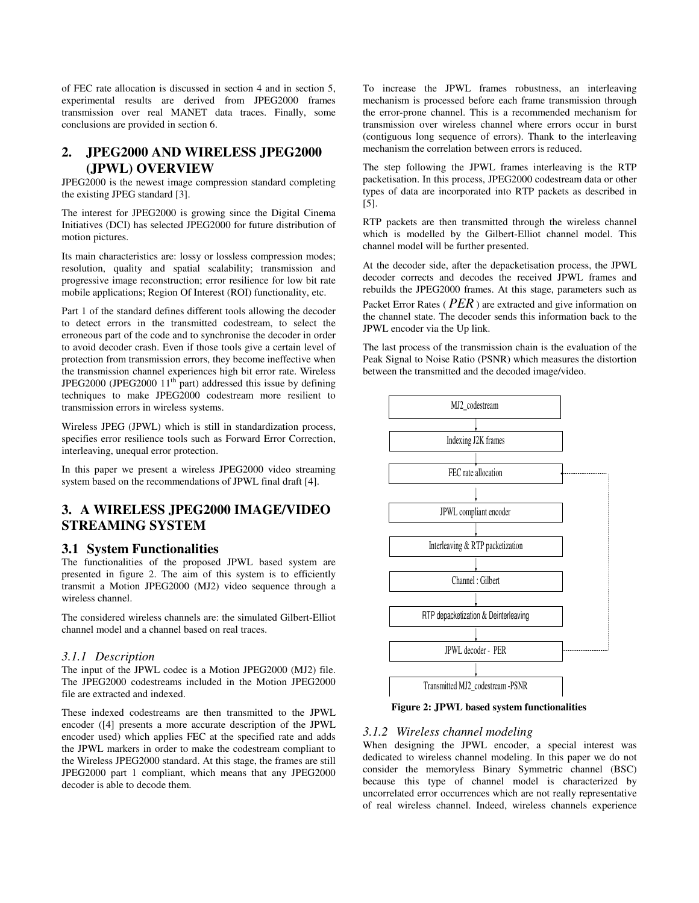of FEC rate allocation is discussed in section 4 and in section 5, experimental results are derived from JPEG2000 frames transmission over real MANET data traces. Finally, some conclusions are provided in section 6.

# **2. JPEG2000 AND WIRELESS JPEG2000 (JPWL) OVERVIEW**

JPEG2000 is the newest image compression standard completing the existing JPEG standard [3].

The interest for JPEG2000 is growing since the Digital Cinema Initiatives (DCI) has selected JPEG2000 for future distribution of motion pictures.

Its main characteristics are: lossy or lossless compression modes; resolution, quality and spatial scalability; transmission and progressive image reconstruction; error resilience for low bit rate mobile applications; Region Of Interest (ROI) functionality, etc.

Part 1 of the standard defines different tools allowing the decoder to detect errors in the transmitted codestream, to select the erroneous part of the code and to synchronise the decoder in order to avoid decoder crash. Even if those tools give a certain level of protection from transmission errors, they become ineffective when the transmission channel experiences high bit error rate. Wireless JPEG2000 (JPEG2000  $11<sup>th</sup>$  part) addressed this issue by defining techniques to make JPEG2000 codestream more resilient to transmission errors in wireless systems.

Wireless JPEG (JPWL) which is still in standardization process, specifies error resilience tools such as Forward Error Correction, interleaving, unequal error protection.

In this paper we present a wireless JPEG2000 video streaming system based on the recommendations of JPWL final draft [4].

# **3. A WIRELESS JPEG2000 IMAGE/VIDEO STREAMING SYSTEM**

## **3.1 System Functionalities**

The functionalities of the proposed JPWL based system are presented in figure 2. The aim of this system is to efficiently transmit a Motion JPEG2000 (MJ2) video sequence through a wireless channel.

The considered wireless channels are: the simulated Gilbert-Elliot channel model and a channel based on real traces.

#### *3.1.1 Description*

The input of the JPWL codec is a Motion JPEG2000 (MJ2) file. The JPEG2000 codestreams included in the Motion JPEG2000 file are extracted and indexed.

These indexed codestreams are then transmitted to the JPWL encoder ([4] presents a more accurate description of the JPWL encoder used) which applies FEC at the specified rate and adds the JPWL markers in order to make the codestream compliant to the Wireless JPEG2000 standard. At this stage, the frames are still JPEG2000 part 1 compliant, which means that any JPEG2000 decoder is able to decode them.

To increase the JPWL frames robustness, an interleaving mechanism is processed before each frame transmission through the error-prone channel. This is a recommended mechanism for transmission over wireless channel where errors occur in burst (contiguous long sequence of errors). Thank to the interleaving mechanism the correlation between errors is reduced.

The step following the JPWL frames interleaving is the RTP packetisation. In this process, JPEG2000 codestream data or other types of data are incorporated into RTP packets as described in [5].

RTP packets are then transmitted through the wireless channel which is modelled by the Gilbert-Elliot channel model. This channel model will be further presented.

At the decoder side, after the depacketisation process, the JPWL decoder corrects and decodes the received JPWL frames and rebuilds the JPEG2000 frames. At this stage, parameters such as Packet Error Rates ( *PER* ) are extracted and give information on the channel state. The decoder sends this information back to the JPWL encoder via the Up link.

The last process of the transmission chain is the evaluation of the Peak Signal to Noise Ratio (PSNR) which measures the distortion between the transmitted and the decoded image/video.



**Figure 2: JPWL based system functionalities** 

## *3.1.2 Wireless channel modeling*

When designing the JPWL encoder, a special interest was dedicated to wireless channel modeling. In this paper we do not consider the memoryless Binary Symmetric channel (BSC) because this type of channel model is characterized by uncorrelated error occurrences which are not really representative of real wireless channel. Indeed, wireless channels experience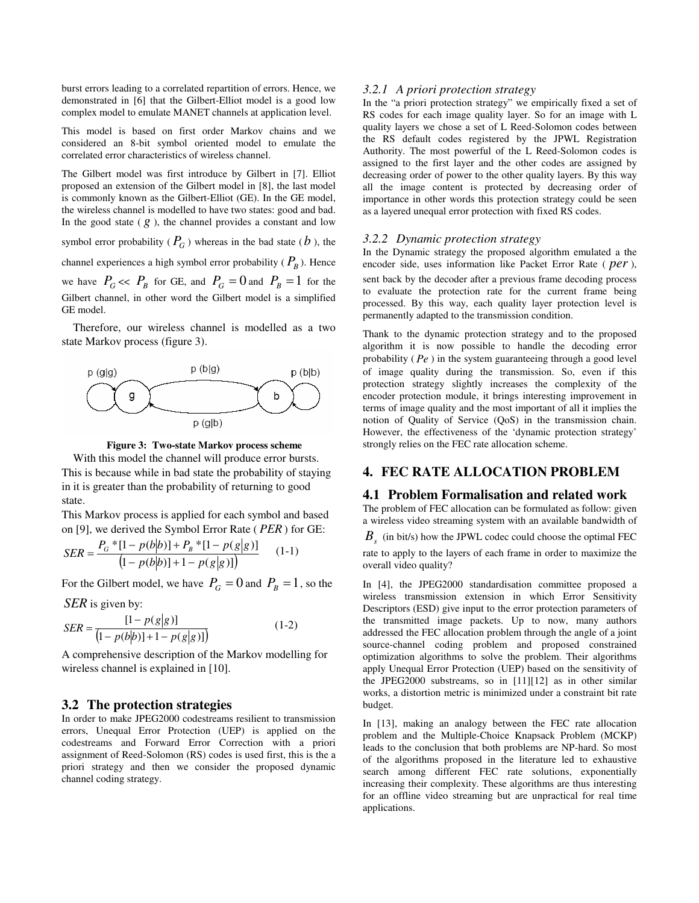burst errors leading to a correlated repartition of errors. Hence, we demonstrated in [6] that the Gilbert-Elliot model is a good low complex model to emulate MANET channels at application level.

This model is based on first order Markov chains and we considered an 8-bit symbol oriented model to emulate the correlated error characteristics of wireless channel.

The Gilbert model was first introduce by Gilbert in [7]. Elliot proposed an extension of the Gilbert model in [8], the last model is commonly known as the Gilbert-Elliot (GE). In the GE model, the wireless channel is modelled to have two states: good and bad. In the good state  $(g)$ , the channel provides a constant and low

symbol error probability ( $P_G$ ) whereas in the bad state ( $b$ ), the channel experiences a high symbol error probability (  $P_B$  ). Hence we have  $P_G \ll P_B$  for GE, and  $P_G = 0$  and  $P_B = 1$  for the Gilbert channel, in other word the Gilbert model is a simplified GE model.

Therefore, our wireless channel is modelled as a two state Markov process (figure 3).





With this model the channel will produce error bursts. This is because while in bad state the probability of staying in it is greater than the probability of returning to good state.

This Markov process is applied for each symbol and based on [9], we derived the Symbol Error Rate ( *PER*) for GE:

$$
SER = \frac{P_G * [1 - p(b|b)] + P_B * [1 - p(g|g)]}{(1 - p(b|b)] + 1 - p(g|g)]}
$$
(1-1)

For the Gilbert model, we have  $P_G = 0$  and  $P_B = 1$ , so the

*SER* is given by:

$$
SER = \frac{[1 - p(g|g)]}{[1 - p(b|b)] + 1 - p(g|g)]}
$$
(1-2)

A comprehensive description of the Markov modelling for wireless channel is explained in [10].

## **3.2 The protection strategies**

In order to make JPEG2000 codestreams resilient to transmission errors, Unequal Error Protection (UEP) is applied on the codestreams and Forward Error Correction with a priori assignment of Reed-Solomon (RS) codes is used first, this is the a priori strategy and then we consider the proposed dynamic channel coding strategy.

#### *3.2.1 A priori protection strategy*

In the "a priori protection strategy" we empirically fixed a set of RS codes for each image quality layer. So for an image with L quality layers we chose a set of L Reed-Solomon codes between the RS default codes registered by the JPWL Registration Authority. The most powerful of the L Reed-Solomon codes is assigned to the first layer and the other codes are assigned by decreasing order of power to the other quality layers. By this way all the image content is protected by decreasing order of importance in other words this protection strategy could be seen as a layered unequal error protection with fixed RS codes.

#### *3.2.2 Dynamic protection strategy*

In the Dynamic strategy the proposed algorithm emulated a the encoder side, uses information like Packet Error Rate ( *per* ),

sent back by the decoder after a previous frame decoding process to evaluate the protection rate for the current frame being processed. By this way, each quality layer protection level is permanently adapted to the transmission condition.

Thank to the dynamic protection strategy and to the proposed algorithm it is now possible to handle the decoding error probability ( *Pe* ) in the system guaranteeing through a good level of image quality during the transmission. So, even if this protection strategy slightly increases the complexity of the encoder protection module, it brings interesting improvement in terms of image quality and the most important of all it implies the notion of Quality of Service (QoS) in the transmission chain. However, the effectiveness of the 'dynamic protection strategy' strongly relies on the FEC rate allocation scheme.

## **4. FEC RATE ALLOCATION PROBLEM**

## **4.1 Problem Formalisation and related work**

The problem of FEC allocation can be formulated as follow: given a wireless video streaming system with an available bandwidth of

 $B_s$  (in bit/s) how the JPWL codec could choose the optimal FEC

rate to apply to the layers of each frame in order to maximize the overall video quality?

In [4], the JPEG2000 standardisation committee proposed a wireless transmission extension in which Error Sensitivity Descriptors (ESD) give input to the error protection parameters of the transmitted image packets. Up to now, many authors addressed the FEC allocation problem through the angle of a joint source-channel coding problem and proposed constrained optimization algorithms to solve the problem. Their algorithms apply Unequal Error Protection (UEP) based on the sensitivity of the JPEG2000 substreams, so in [11][12] as in other similar works, a distortion metric is minimized under a constraint bit rate budget.

In [13], making an analogy between the FEC rate allocation problem and the Multiple-Choice Knapsack Problem (MCKP) leads to the conclusion that both problems are NP-hard. So most of the algorithms proposed in the literature led to exhaustive search among different FEC rate solutions, exponentially increasing their complexity. These algorithms are thus interesting for an offline video streaming but are unpractical for real time applications.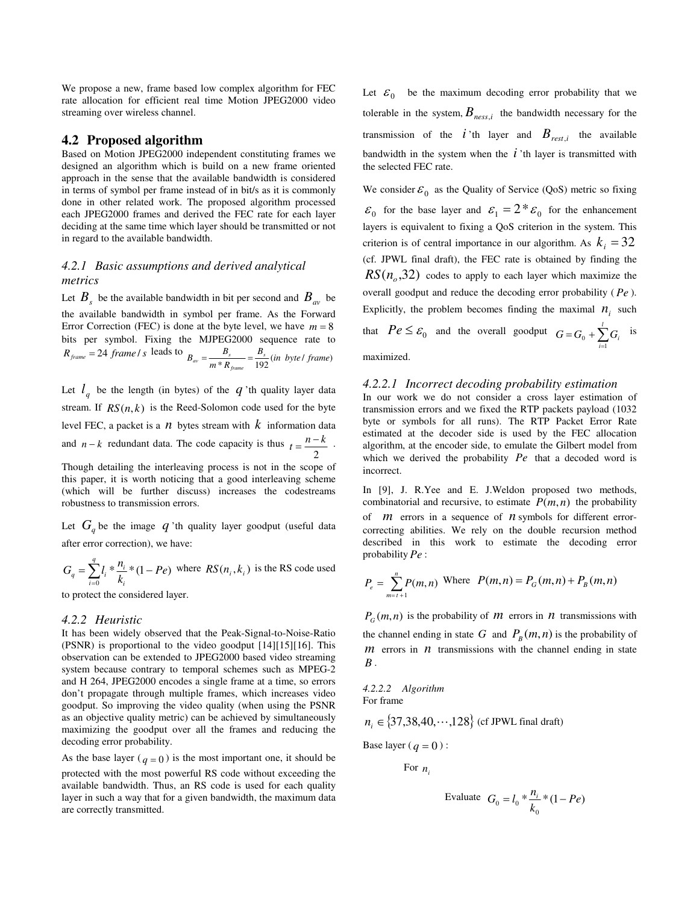We propose a new, frame based low complex algorithm for FEC rate allocation for efficient real time Motion JPEG2000 video streaming over wireless channel.

#### **4.2 Proposed algorithm**

Based on Motion JPEG2000 independent constituting frames we designed an algorithm which is build on a new frame oriented approach in the sense that the available bandwidth is considered in terms of symbol per frame instead of in bit/s as it is commonly done in other related work. The proposed algorithm processed each JPEG2000 frames and derived the FEC rate for each layer deciding at the same time which layer should be transmitted or not in regard to the available bandwidth.

# *4.2.1 Basic assumptions and derived analytical metrics*

Let  $B_s$  be the available bandwidth in bit per second and  $B_{av}$  be the available bandwidth in symbol per frame. As the Forward Error Correction (FEC) is done at the byte level, we have  $m = 8$ bits per symbol. Fixing the MJPEG2000 sequence rate to  $R_{frame} = 24$  frame *l* s leads to  $B_{av} = \frac{B_s}{m * R_{frame}} = \frac{B_s}{192} (in \; byte \; / \; frame)$ *m R*  $B_{av} = \frac{B_s}{A} = \frac{B_s}{A}$ *frame*  $\frac{D_s}{a} = \frac{D_s}{a} =$ 

Let  $l_q$  be the length (in bytes) of the  $q$  'th quality layer data stream. If  $RS(n, k)$  is the Reed-Solomon code used for the byte level FEC, a packet is a  $n$  bytes stream with  $k$  information data and *n* − *k* redundant data. The code capacity is thus 2  $t = \frac{n-k}{2}$ .

Though detailing the interleaving process is not in the scope of this paper, it is worth noticing that a good interleaving scheme (which will be further discuss) increases the codestreams robustness to transmission errors.

Let  $G_q$  be the image  $q$  'th quality layer goodput (useful data after error correction), we have:

$$
G_q = \sum_{i=0}^{q} l_i * \frac{n_i}{k_i} * (1 - Pe)
$$
 where  $RS(n_i, k_i)$  is the RS code used

to protect the considered layer.

#### *4.2.2 Heuristic*

It has been widely observed that the Peak-Signal-to-Noise-Ratio (PSNR) is proportional to the video goodput [14][15][16]. This observation can be extended to JPEG2000 based video streaming system because contrary to temporal schemes such as MPEG-2 and H 264, JPEG2000 encodes a single frame at a time, so errors don't propagate through multiple frames, which increases video goodput. So improving the video quality (when using the PSNR as an objective quality metric) can be achieved by simultaneously maximizing the goodput over all the frames and reducing the decoding error probability.

As the base layer ( $q = 0$ ) is the most important one, it should be protected with the most powerful RS code without exceeding the available bandwidth. Thus, an RS code is used for each quality layer in such a way that for a given bandwidth, the maximum data are correctly transmitted.

Let  $\varepsilon_0$  be the maximum decoding error probability that we tolerable in the system,  $B_{ness,i}$  the bandwidth necessary for the transmission of the  $i$  'th layer and  $B_{rest,i}$  the available bandwidth in the system when the  $\vec{l}$  'th layer is transmitted with the selected FEC rate.

We consider  $\varepsilon_0$  as the Quality of Service (QoS) metric so fixing  $\varepsilon_0$  for the base layer and  $\varepsilon_1 = 2 * \varepsilon_0$  for the enhancement layers is equivalent to fixing a QoS criterion in the system. This criterion is of central importance in our algorithm. As  $k_i = 32$ (cf. JPWL final draft), the FEC rate is obtained by finding the  $RS(n_o, 32)$  codes to apply to each layer which maximize the overall goodput and reduce the decoding error probability ( *Pe* ). Explicitly, the problem becomes finding the maximal  $n_i$  such that  $Pe \leq \varepsilon_0$  and the overall goodput  $G = G_0 + \sum_{i=1}^{l} G_i$  is = *i* 1

maximized.

#### *4.2.2.1 Incorrect decoding probability estimation*

In our work we do not consider a cross layer estimation of transmission errors and we fixed the RTP packets payload (1032 byte or symbols for all runs). The RTP Packet Error Rate estimated at the decoder side is used by the FEC allocation algorithm, at the encoder side, to emulate the Gilbert model from which we derived the probability *Pe* that a decoded word is incorrect.

In [9], J. R.Yee and E. J.Weldon proposed two methods, combinatorial and recursive, to estimate  $P(m, n)$  the probability of *m* errors in a sequence of *n* symbols for different errorcorrecting abilities. We rely on the double recursion method described in this work to estimate the decoding error probability *Pe* :

$$
P_e = \sum_{m=r+1}^{n} P(m,n) \text{ Where } P(m,n) = P_G(m,n) + P_B(m,n)
$$

 $P_G(m,n)$  is the probability of *m* errors in *n* transmissions with the channel ending in state  $G$  and  $P_B(m, n)$  is the probability of  $m$  errors in  $n$  transmissions with the channel ending in state *B* .

*4.2.2.2 Algorithm*  For frame

$$
n_i \in \{37,38,40,\cdots,128\} \text{ (cf JPWL final draft)}
$$

Base layer ( $q = 0$ ) :

For  $n_i$ 

Evaluate 
$$
G_0 = l_0 * \frac{n_i}{k_0} * (1 - Pe)
$$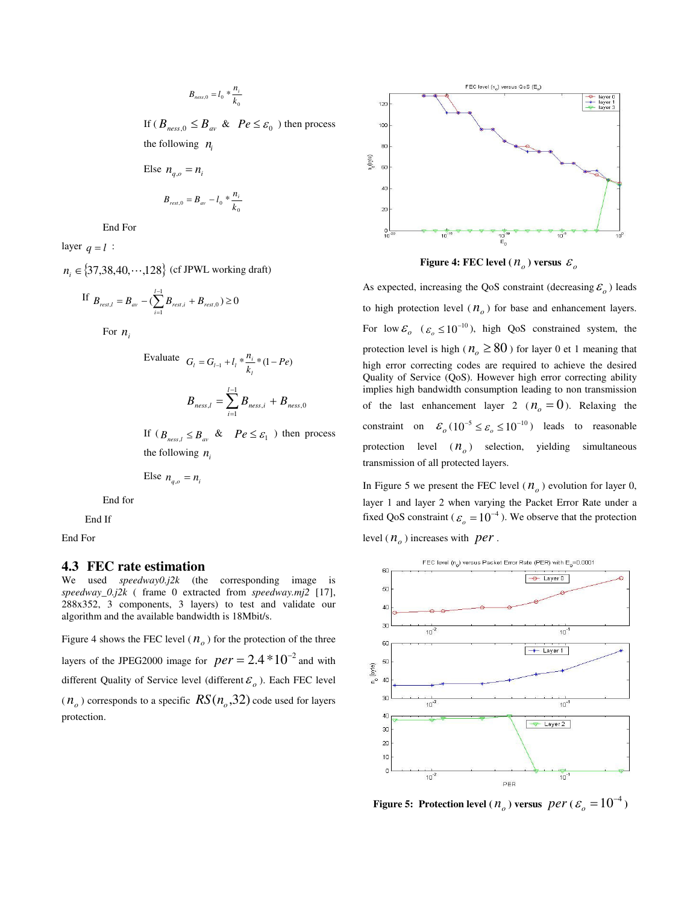$$
B_{ness,0} = l_0 * \frac{n_i}{k_0}
$$

If  $(B_{\text{ness},0} \leq B_{\text{av}} \& \text{Pe} \leq \varepsilon_0$ ) then process the following  $n_i$ 

Else  $n_{a,o} = n_i$ 

$$
B_{rest,0}=B_{av}-l_0*\frac{n_i}{k_0}
$$

End For

layer  $q = l$  :

*n*<sub>*i*</sub> ∈  $\{37,38,40, \cdots,128\}$  (cf JPWL working draft)

If 
$$
B_{rest,l} = B_{av} - (\sum_{i=1}^{l-1} B_{rest,i} + B_{rest,0}) \ge 0
$$

For  $n_i$ 

Evaluate 
$$
G_i = G_{i-1} + l_i * \frac{n_i}{k_i} * (1 - Pe)
$$
  

$$
B_{ness, l} = \sum_{i=1}^{l-1} B_{ness, i} + B_{ness, 0}
$$

If  $(B_{\text{ness},l} \leq B_{\text{av}} \& \text{Pe} \leq \varepsilon_1$  ) then process the following  $n_i$ 

Else 
$$
n_{q,o} = n_i
$$

End for

End If

End For

## **4.3 FEC rate estimation**

We used *speedway0.j2k* (the corresponding image is *speedway\_0.j2k* ( frame 0 extracted from *speedway.mj2* [17], 288x352, 3 components, 3 layers) to test and validate our algorithm and the available bandwidth is 18Mbit/s.

Figure 4 shows the FEC level ( $n<sub>o</sub>$ ) for the protection of the three layers of the JPEG2000 image for  $per = 2.4 * 10^{-2}$  and with different Quality of Service level (different  $\varepsilon$ <sub>o</sub>). Each FEC level  $(n_o)$  corresponds to a specific  $RS(n_o, 32)$  code used for layers protection.



 **Figure 4: FEC level (**  $n_o$ ) versus  $\varepsilon_o$ 

As expected, increasing the QoS constraint (decreasing  $\mathcal{E}_o$ ) leads to high protection level  $(n<sub>o</sub>)$  for base and enhancement layers. For low  $\mathcal{E}_{o}$  ( $\mathcal{E}_{o} \leq 10^{-10}$ ), high QoS constrained system, the protection level is high ( $n_0 \ge 80$ ) for layer 0 et 1 meaning that high error correcting codes are required to achieve the desired Quality of Service (QoS). However high error correcting ability implies high bandwidth consumption leading to non transmission of the last enhancement layer 2 ( $n_a = 0$ ). Relaxing the constraint on  $\mathcal{E}_o(10^{-5} \leq \mathcal{E}_o \leq 10^{-10})$  leads to reasonable protection level ( *n<sup>o</sup>* ) selection, yielding simultaneous transmission of all protected layers.

In Figure 5 we present the FEC level  $(n_o)$  evolution for layer 0, layer 1 and layer 2 when varying the Packet Error Rate under a fixed QoS constraint ( $\varepsilon_o = 10^{-4}$ ). We observe that the protection level  $(n_o)$  increases with *per*.



 **Figure 5:** Protection level ( $n_o$ ) versus  $per$  ( $\varepsilon_o = 10^{-4}$ )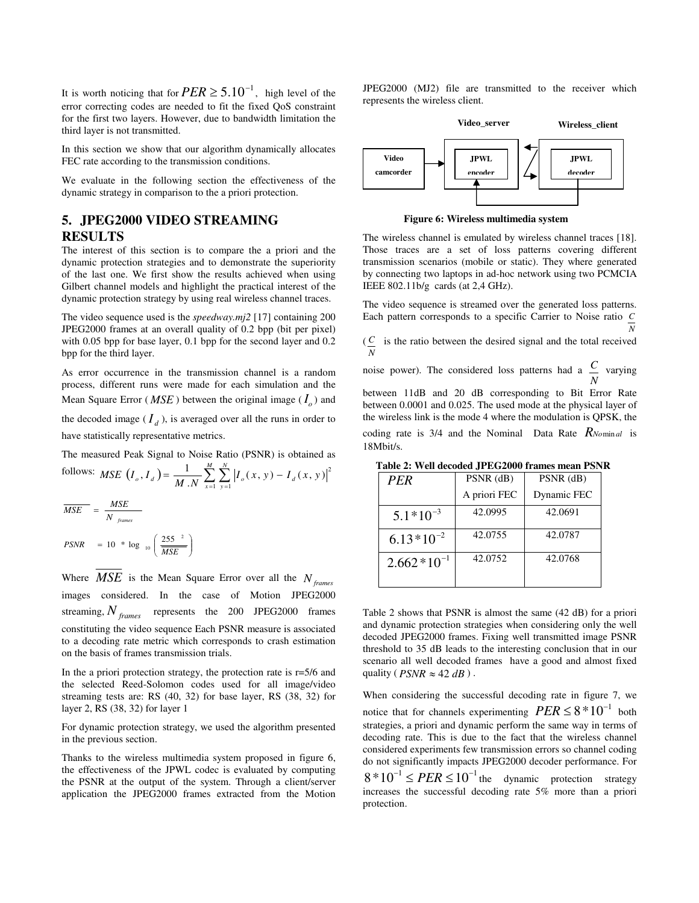It is worth noticing that for  $PER \geq 5.10^{-1}$ , high level of the error correcting codes are needed to fit the fixed QoS constraint for the first two layers. However, due to bandwidth limitation the third layer is not transmitted.

In this section we show that our algorithm dynamically allocates FEC rate according to the transmission conditions.

We evaluate in the following section the effectiveness of the dynamic strategy in comparison to the a priori protection.

# **5. JPEG2000 VIDEO STREAMING RESULTS**

The interest of this section is to compare the a priori and the dynamic protection strategies and to demonstrate the superiority of the last one. We first show the results achieved when using Gilbert channel models and highlight the practical interest of the dynamic protection strategy by using real wireless channel traces.

The video sequence used is the *speedway.mj2* [17] containing 200 JPEG2000 frames at an overall quality of 0.2 bpp (bit per pixel) with 0.05 bpp for base layer, 0.1 bpp for the second layer and 0.2 bpp for the third layer.

As error occurrence in the transmission channel is a random process, different runs were made for each simulation and the Mean Square Error ( $MSE$ ) between the original image ( $I_o$ ) and

the decoded image  $(I_d)$ , is averaged over all the runs in order to have statistically representative metrics.

The measured Peak Signal to Noise Ratio (PSNR) is obtained as

follows: MSE 
$$
(I_o, I_d) = \frac{1}{M \cdot N} \sum_{x=1}^{M} \sum_{y=1}^{N} |I_o(x, y) - I_d(x, y)|^2
$$
  
\n
$$
\overline{MSE} = \frac{MSE}{N \text{ frames}}
$$

I J ∖ I l  $PSNR = 10 * \log_{10} \left( \frac{255}{MSE} \right)$  $10 * \log_{10} \left( \frac{255}{100} \right)$ 

Where *MSE* is the Mean Square Error over all the *N frames* images considered. In the case of Motion JPEG2000 streaming, *N frames* represents the 200 JPEG2000 frames constituting the video sequence Each PSNR measure is associated to a decoding rate metric which corresponds to crash estimation on the basis of frames transmission trials.

In the a priori protection strategy, the protection rate is r=5/6 and the selected Reed-Solomon codes used for all image/video streaming tests are: RS (40, 32) for base layer, RS (38, 32) for layer 2, RS (38, 32) for layer 1

For dynamic protection strategy, we used the algorithm presented in the previous section.

Thanks to the wireless multimedia system proposed in figure 6, the effectiveness of the JPWL codec is evaluated by computing the PSNR at the output of the system. Through a client/server application the JPEG2000 frames extracted from the Motion JPEG2000 (MJ2) file are transmitted to the receiver which represents the wireless client.





**Figure 6: Wireless multimedia system** 

The wireless channel is emulated by wireless channel traces [18]. Those traces are a set of loss patterns covering different transmission scenarios (mobile or static). They where generated by connecting two laptops in ad-hoc network using two PCMCIA IEEE 802.11b/g cards (at 2,4 GHz).

The video sequence is streamed over the generated loss patterns. Each pattern corresponds to a specific Carrier to Noise ratio *C N*

 $(C_{\text{c}})$  is the ratio between the desired signal and the total received *N*

noise power). The considered loss patterns had a *N C* varying

between 11dB and 20 dB corresponding to Bit Error Rate between 0.0001 and 0.025. The used mode at the physical layer of the wireless link is the mode 4 where the modulation is QPSK, the coding rate is 3/4 and the Nominal Data Rate  $R_{\text{Nominal}}$  is

18Mbit/s.

| <b>PFR</b>      | $PSNR$ (dB)  | $PSNR$ (dB) |
|-----------------|--------------|-------------|
|                 | A priori FEC | Dynamic FEC |
| $5.1*10^{-3}$   | 42.0995      | 42.0691     |
| $6.13*10^{-2}$  | 42.0755      | 42.0787     |
| $2.662*10^{-1}$ | 42.0752      | 42.0768     |
|                 |              |             |

 **Table 2: Well decoded JPEG2000 frames mean PSNR** 

Table 2 shows that PSNR is almost the same (42 dB) for a priori and dynamic protection strategies when considering only the well decoded JPEG2000 frames. Fixing well transmitted image PSNR threshold to 35 dB leads to the interesting conclusion that in our scenario all well decoded frames have a good and almost fixed quality ( $PSNR \approx 42 dB$ ).

When considering the successful decoding rate in figure 7, we notice that for channels experimenting  $PER \leq 8*10^{-1}$  both strategies, a priori and dynamic perform the same way in terms of decoding rate. This is due to the fact that the wireless channel considered experiments few transmission errors so channel coding do not significantly impacts JPEG2000 decoder performance. For  $8 * 10^{-1} \leq PER \leq 10^{-1}$  the dynamic protection strategy increases the successful decoding rate 5% more than a priori

protection.